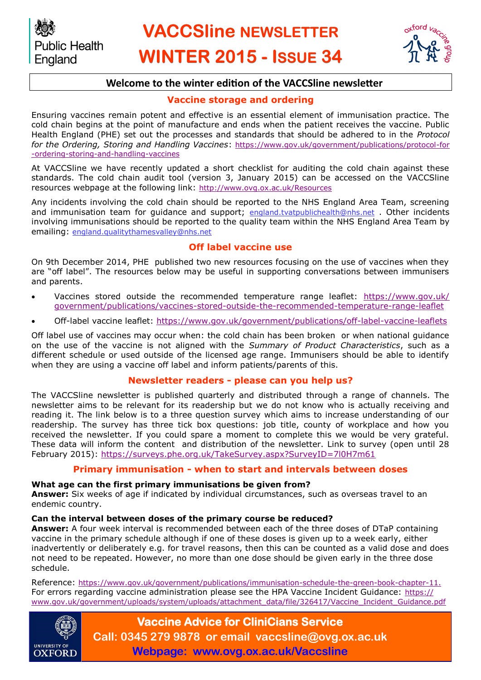

# **Welcome to the winter edition of the VACCSline newsletter**

#### **Vaccine storage and ordering**

Ensuring vaccines remain potent and effective is an essential element of immunisation practice. The cold chain begins at the point of manufacture and ends when the patient receives the vaccine. Public Health England (PHE) set out the processes and standards that should be adhered to in the *Protocol for the Ordering, Storing and Handling Vaccines*: [https://www.gov.uk/government/publications/protocol-for](https://www.gov.uk/government/publications/protocol-for-ordering-storing-and-handling-vaccines) [-ordering-storing-and-handling-vaccines](https://www.gov.uk/government/publications/protocol-for-ordering-storing-and-handling-vaccines)

At VACCSline we have recently updated a short checklist for auditing the cold chain against these standards. The cold chain audit tool (version 3, January 2015) can be accessed on the VACCSline resources webpage at the following link: <http://www.ovg.ox.ac.uk/Resources>

Any incidents involving the cold chain should be reported to the NHS England Area Team, screening and immunisation team for guidance and support; [england.tvatpublichealth@nhs.net](mailto:england.tvatpublichealth@nhs.net) . Other incidents involving immunisations should be reported to the quality team within the NHS England Area Team by emailing: [england.qualitythamesvalley@nhs.net](mailto:england.qualitythamesvalley@nhs.net) 

## **Off label vaccine use**

On 9th December 2014, PHE published two new resources focusing on the use of vaccines when they are "off label". The resources below may be useful in supporting conversations between immunisers and parents.

- Vaccines stored outside the recommended temperature range leaflet: [https://www.gov.uk/](https://www.gov.uk/government/publications/vaccines-stored-outside-the-recommended-temperature-range-leaflet) [government/publications/vaccines-stored-outside-the-recommended-temperature-range-leaflet](https://www.gov.uk/government/publications/vaccines-stored-outside-the-recommended-temperature-range-leaflet)
- Off-label vaccine leaflet: <https://www.gov.uk/government/publications/off-label-vaccine-leaflets>

Off label use of vaccines may occur when: the cold chain has been broken or when national guidance on the use of the vaccine is not aligned with the *Summary of Product Characteristics*, such as a different schedule or used outside of the licensed age range. Immunisers should be able to identify when they are using a vaccine off label and inform patients/parents of this.

#### **Newsletter readers - please can you help us?**

The VACCSline newsletter is published quarterly and distributed through a range of channels. The newsletter aims to be relevant for its readership but we do not know who is actually receiving and reading it. The link below is to a three question survey which aims to increase understanding of our readership. The survey has three tick box questions: job title, county of workplace and how you received the newsletter. If you could spare a moment to complete this we would be very grateful. These data will inform the content and distribution of the newsletter. Link to survey (open until 28 February 2015):<https://surveys.phe.org.uk/TakeSurvey.aspx?SurveyID=7l0H7m61>

#### **Primary immunisation - when to start and intervals between doses**

#### **What age can the first primary immunisations be given from?**

**Answer:** Six weeks of age if indicated by individual circumstances, such as overseas travel to an endemic country.

#### **Can the interval between doses of the primary course be reduced?**

**Answer:** A four week interval is recommended between each of the three doses of DTaP containing vaccine in the primary schedule although if one of these doses is given up to a week early, either inadvertently or deliberately e.g. for travel reasons, then this can be counted as a valid dose and does not need to be repeated. However, no more than one dose should be given early in the three dose schedule.

Reference: [https://www.gov.uk/government/publications/immunisation-schedule-the-green-book-chapter-11.](https://www.gov.uk/government/publications/immunisation-schedule-the-green-book-chapter-11) For errors regarding vaccine administration please see the HPA Vaccine Incident Guidance: [https://](https://www.gov.uk/government/uploads/system/uploads/attachment_data/file/326417/Vaccine_Incident_Guidance.pdf) [www.gov.uk/government/uploads/system/uploads/attachment\\_data/file/326417/Vaccine\\_Incident\\_Guidance.pdf](https://www.gov.uk/government/uploads/system/uploads/attachment_data/file/326417/Vaccine_Incident_Guidance.pdf)



**Vaccine Advice for CliniCians Service Call: 0345 279 9878 or email vaccsline@ovg.ox.ac.uk Webpage: www.ovg.ox.ac.uk/Vaccsline**